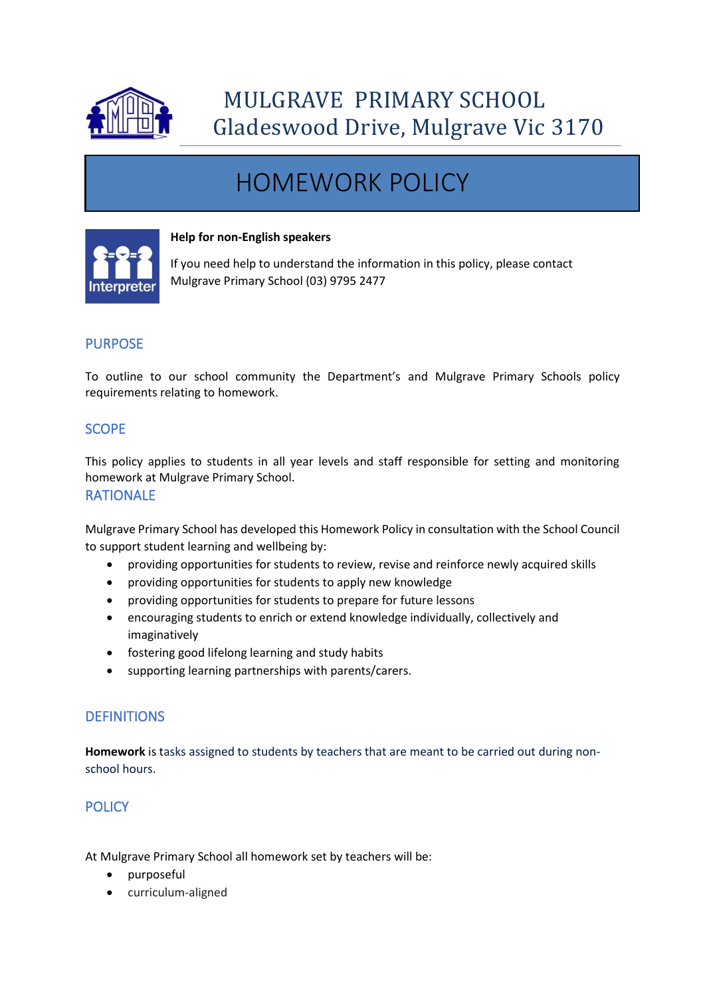

# HOMEWORK POLICY



#### **Help for non-English speakers**

If you need help to understand the information in this policy, please contact Mulgrave Primary School (03) 9795 2477

# PURPOSE

To outline to our school community the Department's and Mulgrave Primary Schools policy requirements relating to homework.

# **SCOPE**

This policy applies to students in all year levels and staff responsible for setting and monitoring homework at Mulgrave Primary School.

### RATIONALE

Mulgrave Primary School has developed this Homework Policy in consultation with the School Council to support student learning and wellbeing by:

- providing opportunities for students to review, revise and reinforce newly acquired skills
- providing opportunities for students to apply new knowledge
- providing opportunities for students to prepare for future lessons
- encouraging students to enrich or extend knowledge individually, collectively and imaginatively
- fostering good lifelong learning and study habits
- supporting learning partnerships with parents/carers.

# **DEFINITIONS**

**Homework** is tasks assigned to students by teachers that are meant to be carried out during nonschool hours.

# **POLICY**

At Mulgrave Primary School all homework set by teachers will be:

- purposeful
- curriculum-aligned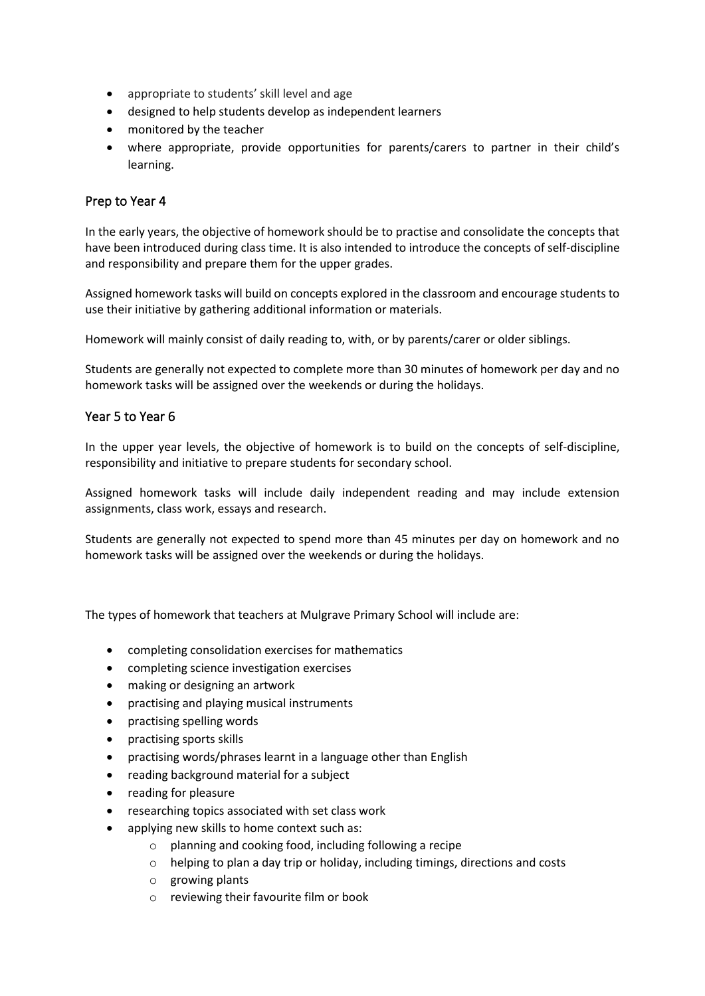- appropriate to students' skill level and age
- designed to help students develop as independent learners
- monitored by the teacher
- where appropriate, provide opportunities for parents/carers to partner in their child's learning.

## Prep to Year 4

In the early years, the objective of homework should be to practise and consolidate the concepts that have been introduced during class time. It is also intended to introduce the concepts of self-discipline and responsibility and prepare them for the upper grades.

Assigned homework tasks will build on concepts explored in the classroom and encourage students to use their initiative by gathering additional information or materials.

Homework will mainly consist of daily reading to, with, or by parents/carer or older siblings.

Students are generally not expected to complete more than 30 minutes of homework per day and no homework tasks will be assigned over the weekends or during the holidays.

## Year 5 to Year 6

In the upper year levels, the objective of homework is to build on the concepts of self-discipline, responsibility and initiative to prepare students for secondary school.

Assigned homework tasks will include daily independent reading and may include extension assignments, class work, essays and research.

Students are generally not expected to spend more than 45 minutes per day on homework and no homework tasks will be assigned over the weekends or during the holidays.

The types of homework that teachers at Mulgrave Primary School will include are:

- completing consolidation exercises for mathematics
- completing science investigation exercises
- making or designing an artwork
- practising and playing musical instruments
- practising spelling words
- practising sports skills
- practising words/phrases learnt in a language other than English
- reading background material for a subject
- reading for pleasure
- researching topics associated with set class work
- applying new skills to home context such as:
	- o planning and cooking food, including following a recipe
	- $\circ$  helping to plan a day trip or holiday, including timings, directions and costs
	- o growing plants
	- o reviewing their favourite film or book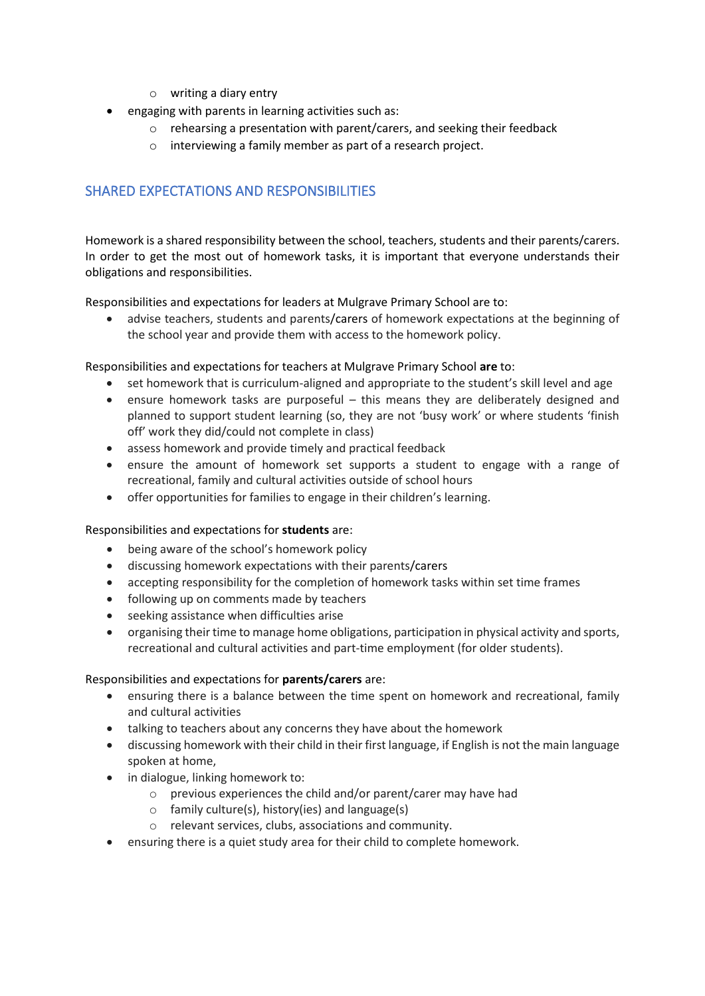- o writing a diary entry
- engaging with parents in learning activities such as:
	- o rehearsing a presentation with parent/carers, and seeking their feedback
	- o interviewing a family member as part of a research project.

# SHARED EXPECTATIONS AND RESPONSIBILITIES

Homework is a shared responsibility between the school, teachers, students and their parents/carers. In order to get the most out of homework tasks, it is important that everyone understands their obligations and responsibilities.

Responsibilities and expectations for leaders at Mulgrave Primary School are to:

• advise teachers, students and parents/carers of homework expectations at the beginning of the school year and provide them with access to the homework policy.

Responsibilities and expectations for teachers at Mulgrave Primary School **are** to:

- set homework that is curriculum-aligned and appropriate to the student's skill level and age
- ensure homework tasks are purposeful this means they are deliberately designed and planned to support student learning (so, they are not 'busy work' or where students 'finish off' work they did/could not complete in class)
- assess homework and provide timely and practical feedback
- ensure the amount of homework set supports a student to engage with a range of recreational, family and cultural activities outside of school hours
- offer opportunities for families to engage in their children's learning.

#### Responsibilities and expectations for **students** are:

- being aware of the school's homework policy
- discussing homework expectations with their parents/carers
- accepting responsibility for the completion of homework tasks within set time frames
- following up on comments made by teachers
- seeking assistance when difficulties arise
- organising their time to manage home obligations, participation in physical activity and sports, recreational and cultural activities and part-time employment (for older students).

#### Responsibilities and expectations for **parents/carers** are:

- ensuring there is a balance between the time spent on homework and recreational, family and cultural activities
- talking to teachers about any concerns they have about the homework
- discussing homework with their child in their first language, if English is not the main language spoken at home,
- in dialogue, linking homework to:
	- o previous experiences the child and/or parent/carer may have had
	- o family culture(s), history(ies) and language(s)
	- o relevant services, clubs, associations and community.
- ensuring there is a quiet study area for their child to complete homework.